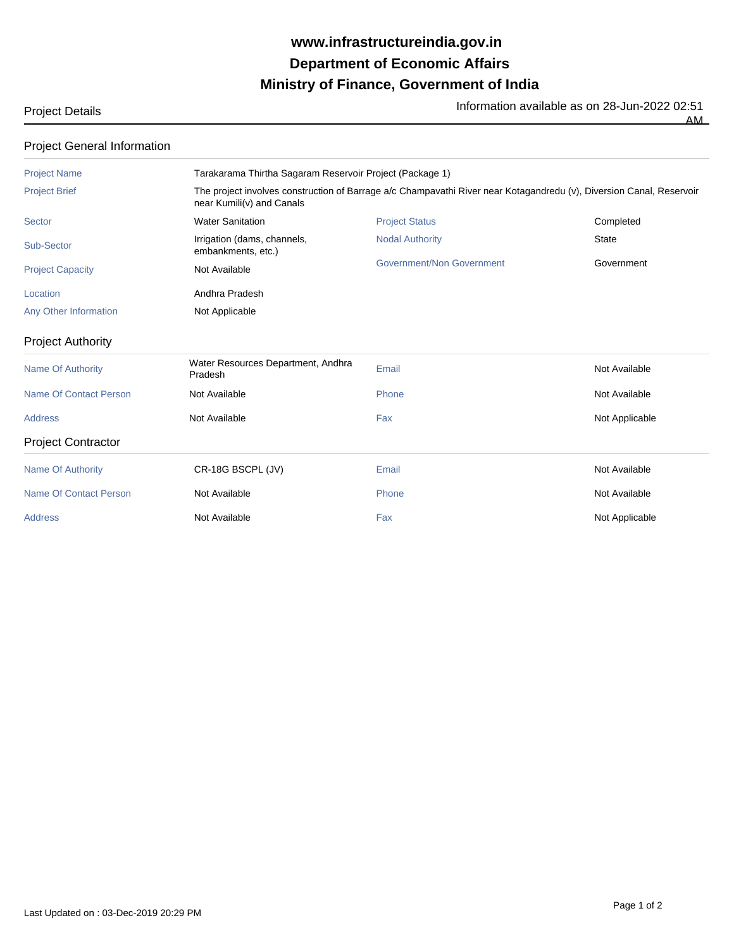## **Ministry of Finance, Government of India Department of Economic Affairs www.infrastructureindia.gov.in**

Project Details **Information available as on 28-Jun-2022 02:51**<br>The Information available as on 28-Jun-2022 02:51

AM

| Project General Information   |                                                                                                                                                   |                                  |                |  |
|-------------------------------|---------------------------------------------------------------------------------------------------------------------------------------------------|----------------------------------|----------------|--|
| <b>Project Name</b>           | Tarakarama Thirtha Sagaram Reservoir Project (Package 1)                                                                                          |                                  |                |  |
| <b>Project Brief</b>          | The project involves construction of Barrage a/c Champavathi River near Kotagandredu (v), Diversion Canal, Reservoir<br>near Kumili(v) and Canals |                                  |                |  |
| Sector                        | <b>Water Sanitation</b>                                                                                                                           | <b>Project Status</b>            | Completed      |  |
| Sub-Sector                    | Irrigation (dams, channels,<br>embankments, etc.)                                                                                                 | <b>Nodal Authority</b>           | <b>State</b>   |  |
| <b>Project Capacity</b>       | Not Available                                                                                                                                     | <b>Government/Non Government</b> | Government     |  |
| Location                      | Andhra Pradesh                                                                                                                                    |                                  |                |  |
| Any Other Information         | Not Applicable                                                                                                                                    |                                  |                |  |
| <b>Project Authority</b>      |                                                                                                                                                   |                                  |                |  |
| <b>Name Of Authority</b>      | Water Resources Department, Andhra<br>Pradesh                                                                                                     | Email                            | Not Available  |  |
| <b>Name Of Contact Person</b> | Not Available                                                                                                                                     | Phone                            | Not Available  |  |
| <b>Address</b>                | Not Available                                                                                                                                     | Fax                              | Not Applicable |  |
| <b>Project Contractor</b>     |                                                                                                                                                   |                                  |                |  |
| <b>Name Of Authority</b>      | CR-18G BSCPL (JV)                                                                                                                                 | Email                            | Not Available  |  |
| <b>Name Of Contact Person</b> | Not Available                                                                                                                                     | Phone                            | Not Available  |  |
| <b>Address</b>                | Not Available                                                                                                                                     | Fax                              | Not Applicable |  |
|                               |                                                                                                                                                   |                                  |                |  |

Project General Information